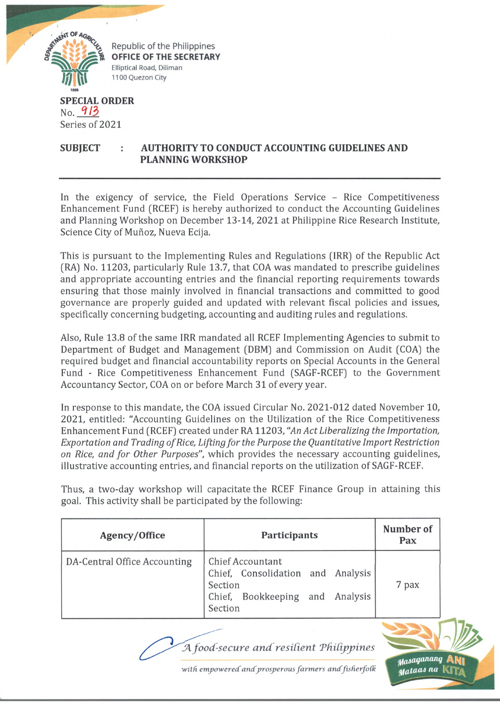

Series of 2021

## **SUBJECT AUTHORITY TO CONDUCT ACCOUNTING GUIDELINES AND PLANNING WORKSHOP**

In the exigency of service, the Field Operations Service - Rice Competitiveness Enhancement Fund (RCEF) is hereby authorized to conduct the Accounting Guidelines and Planning Workshop on December 13-14, 2021 at Philippine Rice Research Institute, Science City of Muñoz, Nueva Ecija.

This is pursuant to the Implementing Rules and Regulations (IRR) of the Republic Act (RA) No. 11203, particularly Rule 13.7, that COA was mandated to prescribe guidelines and appropriate accounting entries and the financial reporting requirements towards ensuring that those mainly involved in financial transactions and committed to good governance are properly guided and updated with relevant fiscal policies and issues, specifically concerning budgeting, accounting and auditing rules and regulations.

Also, Rule 13.8 of the same IRR mandated all RCEF Implementing Agencies to submit to Department of Budget and Management (DBM) and Commission on Audit (COA) the required budget and financial accountability reports on Special Accounts in the General Fund - Rice Competitiveness Enhancement Fund (SAGF-RCEF) to the Government Accountancy Sector, COA on or before March 31 of every year.

In response to this mandate, the COA issued Circular No. 2021-012 dated November 10, 2021, entitled: "Accounting Guidelines on the Utilization of the Rice Competitiveness Enhancement Fund (RCEF) created under RA 11203, *"An Act Liberalizing the Importation, Exportation and Trading of Rice, Lifting for the Purpose the Quantitative Import Restriction on Rice, and for Other Purposes",* which provides the necessary accounting guidelines, illustrative accounting entries, and financial reports on the utilization of SAGF-RCEF.

Thus, a two-day workshop will capacitate the RCEF Finance Group in attaining this goal. This activity shall be participated by the following:

| Agency/Office                | Participants                                                                                                   | Number of<br>Pax |
|------------------------------|----------------------------------------------------------------------------------------------------------------|------------------|
| DA-Central Office Accounting | Chief Accountant<br>Chief, Consolidation and Analysis<br>Section<br>Chief, Bookkeeping and Analysis<br>Section | 7 pax            |



with empowered and prosperous farmers and fisherfolk

*tfaiaqantwq* Aty| *jHaiacu na* Ul i ,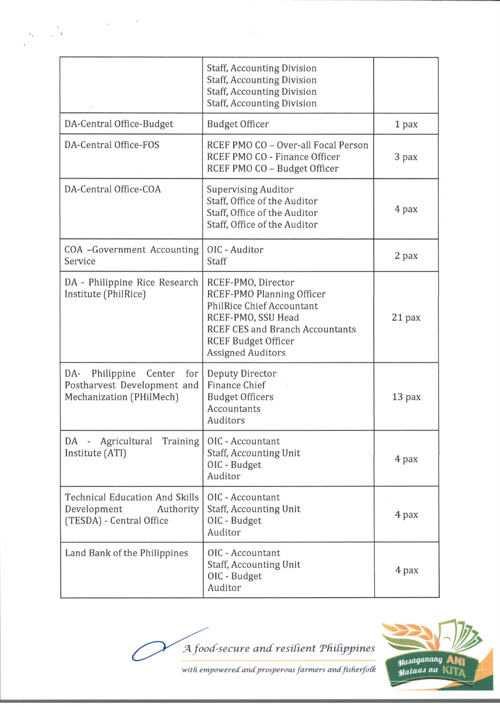|                                                                                               | <b>Staff, Accounting Division</b><br><b>Staff, Accounting Division</b><br><b>Staff, Accounting Division</b><br><b>Staff, Accounting Division</b>                                                              |        |
|-----------------------------------------------------------------------------------------------|---------------------------------------------------------------------------------------------------------------------------------------------------------------------------------------------------------------|--------|
| DA-Central Office-Budget                                                                      | <b>Budget Officer</b>                                                                                                                                                                                         | 1 pax  |
| DA-Central Office-FOS                                                                         | RCEF PMO CO - Over-all Focal Person<br>RCEF PMO CO - Finance Officer<br>RCEF PMO CO - Budget Officer                                                                                                          | 3 pax  |
| DA-Central Office-COA                                                                         | <b>Supervising Auditor</b><br>Staff, Office of the Auditor<br>Staff, Office of the Auditor<br>Staff, Office of the Auditor                                                                                    | 4 pax  |
| COA -Government Accounting<br>Service                                                         | OIC - Auditor<br>Staff                                                                                                                                                                                        | 2 pax  |
| DA - Philippine Rice Research<br>Institute (PhilRice)                                         | RCEF-PMO, Director<br>RCEF-PMO Planning Officer<br><b>PhilRice Chief Accountant</b><br>RCEF-PMO, SSU Head<br><b>RCEF CES and Branch Accountants</b><br><b>RCEF Budget Officer</b><br><b>Assigned Auditors</b> | 21 pax |
| DA-<br>Philippine<br>Center<br>for<br>Postharvest Development and<br>Mechanization (PHilMech) | Deputy Director<br><b>Finance Chief</b><br><b>Budget Officers</b><br>Accountants<br>Auditors                                                                                                                  | 13 pax |
| Agricultural Training<br>DA -<br>Institute (ATI)                                              | OIC - Accountant<br><b>Staff, Accounting Unit</b><br>OIC - Budget<br>Auditor                                                                                                                                  | 4 pax  |
| <b>Technical Education And Skills</b><br>Development<br>Authority<br>(TESDA) - Central Office | OIC - Accountant<br><b>Staff, Accounting Unit</b><br>OIC - Budget<br>Auditor                                                                                                                                  | 4 pax  |
| Land Bank of the Philippines                                                                  | OIC - Accountant<br><b>Staff, Accounting Unit</b><br>OIC - Budget<br>Auditor                                                                                                                                  | 4 pax  |





*with empowered andprosperous farmers andfisherfoCk*